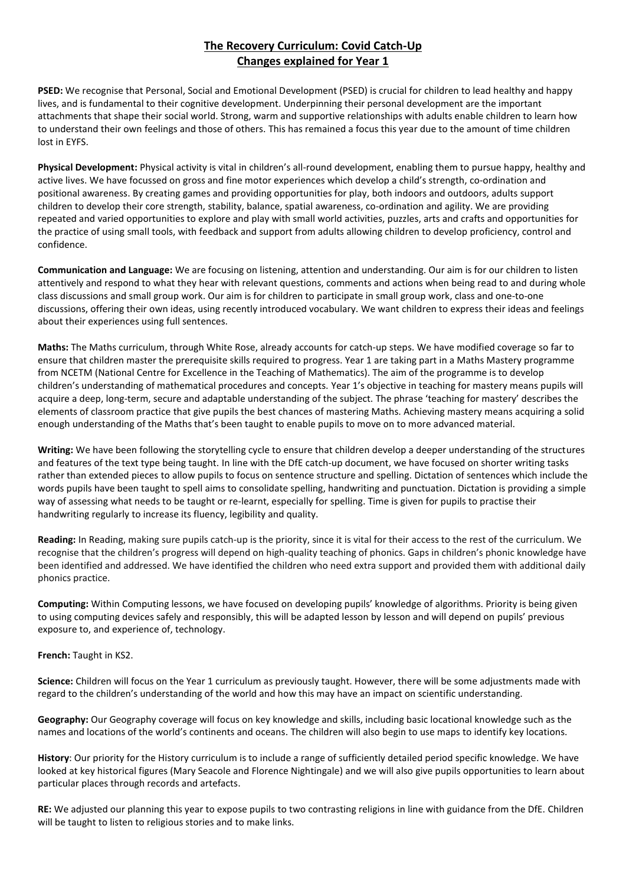## **The Recovery Curriculum: Covid Catch-Up Changes explained for Year 1**

**PSED:** We recognise that Personal, Social and Emotional Development (PSED) is crucial for children to lead healthy and happy lives, and is fundamental to their cognitive development. Underpinning their personal development are the important attachments that shape their social world. Strong, warm and supportive relationships with adults enable children to learn how to understand their own feelings and those of others. This has remained a focus this year due to the amount of time children lost in EYFS.

**Physical Development:** Physical activity is vital in children's all-round development, enabling them to pursue happy, healthy and active lives. We have focussed on gross and fine motor experiences which develop a child's strength, co-ordination and positional awareness. By creating games and providing opportunities for play, both indoors and outdoors, adults support children to develop their core strength, stability, balance, spatial awareness, co-ordination and agility. We are providing repeated and varied opportunities to explore and play with small world activities, puzzles, arts and crafts and opportunities for the practice of using small tools, with feedback and support from adults allowing children to develop proficiency, control and confidence.

**Communication and Language:** We are focusing on listening, attention and understanding. Our aim is for our children to listen attentively and respond to what they hear with relevant questions, comments and actions when being read to and during whole class discussions and small group work. Our aim is for children to participate in small group work, class and one-to-one discussions, offering their own ideas, using recently introduced vocabulary. We want children to express their ideas and feelings about their experiences using full sentences.

**Maths:** The Maths curriculum, through White Rose, already accounts for catch-up steps. We have modified coverage so far to ensure that children master the prerequisite skills required to progress. Year 1 are taking part in a Maths Mastery programme from NCETM (National Centre for Excellence in the Teaching of Mathematics). The aim of the programme is to develop children's understanding of mathematical procedures and concepts. Year 1's objective in teaching for mastery means pupils will acquire a deep, long-term, secure and adaptable understanding of the subject. The phrase 'teaching for mastery' describes the elements of classroom practice that give pupils the best chances of mastering Maths. Achieving mastery means acquiring a solid enough understanding of the Maths that's been taught to enable pupils to move on to more advanced material.

**Writing:** We have been following the storytelling cycle to ensure that children develop a deeper understanding of the structures and features of the text type being taught. In line with the DfE catch-up document, we have focused on shorter writing tasks rather than extended pieces to allow pupils to focus on sentence structure and spelling. Dictation of sentences which include the words pupils have been taught to spell aims to consolidate spelling, handwriting and punctuation. Dictation is providing a simple way of assessing what needs to be taught or re-learnt, especially for spelling. Time is given for pupils to practise their handwriting regularly to increase its fluency, legibility and quality.

**Reading:** In Reading, making sure pupils catch-up is the priority, since it is vital for their access to the rest of the curriculum. We recognise that the children's progress will depend on high-quality teaching of phonics. Gaps in children's phonic knowledge have been identified and addressed. We have identified the children who need extra support and provided them with additional daily phonics practice.

**Computing:** Within Computing lessons, we have focused on developing pupils' knowledge of algorithms. Priority is being given to using computing devices safely and responsibly, this will be adapted lesson by lesson and will depend on pupils' previous exposure to, and experience of, technology.

**French:** Taught in KS2.

**Science:** Children will focus on the Year 1 curriculum as previously taught. However, there will be some adjustments made with regard to the children's understanding of the world and how this may have an impact on scientific understanding.

**Geography:** Our Geography coverage will focus on key knowledge and skills, including basic locational knowledge such as the names and locations of the world's continents and oceans. The children will also begin to use maps to identify key locations.

**History**: Our priority for the History curriculum is to include a range of sufficiently detailed period specific knowledge. We have looked at key historical figures (Mary Seacole and Florence Nightingale) and we will also give pupils opportunities to learn about particular places through records and artefacts.

**RE:** We adjusted our planning this year to expose pupils to two contrasting religions in line with guidance from the DfE. Children will be taught to listen to religious stories and to make links.